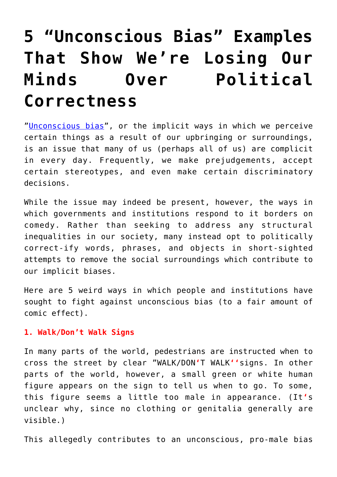## **[5 "Unconscious Bias" Examples](https://intellectualtakeout.org/2018/07/5-unconscious-bias-examples-that-show-were-losing-our-minds-over-political-correctness/) [That Show We're Losing Our](https://intellectualtakeout.org/2018/07/5-unconscious-bias-examples-that-show-were-losing-our-minds-over-political-correctness/) [Minds Over Political](https://intellectualtakeout.org/2018/07/5-unconscious-bias-examples-that-show-were-losing-our-minds-over-political-correctness/) [Correctness](https://intellectualtakeout.org/2018/07/5-unconscious-bias-examples-that-show-were-losing-our-minds-over-political-correctness/)**

"[Unconscious bias](https://ecu.ac.uk/guidance-resources/employment-and-careers/staff-recruitment/unconscious-bias/)", or the implicit ways in which we perceive certain things as a result of our upbringing or surroundings, is an issue that many of us (perhaps all of us) are complicit in every day. Frequently, we make prejudgements, accept certain stereotypes, and even make certain discriminatory decisions.

While the issue may indeed be present, however, the ways in which governments and institutions respond to it borders on comedy. Rather than seeking to address any structural inequalities in our society, many instead opt to politically correct-ify words, phrases, and objects in short-sighted attempts to remove the social surroundings which contribute to our implicit biases.

Here are 5 weird ways in which people and institutions have sought to fight against unconscious bias (to a fair amount of comic effect).

## **1. Walk/Don't Walk Signs**

In many parts of the world, pedestrians are instructed when to cross the street by clear "WALK/DON**'**T WALK**''**signs. In other parts of the world, however, a small green or white human figure appears on the sign to tell us when to go. To some, this figure seems a little too male in appearance. (It**'**s unclear why, since no clothing or genitalia generally are visible.)

This allegedly contributes to an unconscious, pro-male bias